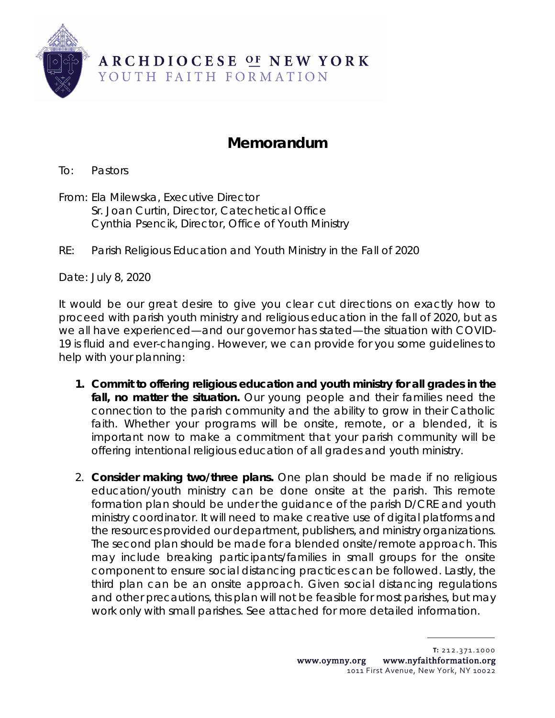

## **Memorandum**

To: Pastors

From: Ela Milewska, Executive Director Sr. Joan Curtin, Director, Catechetical Office Cynthia Psencik, Director, Office of Youth Ministry

RE: Parish Religious Education and Youth Ministry in the Fall of 2020

Date: July 8, 2020

It would be our great desire to give you clear cut directions on exactly how to proceed with parish youth ministry and religious education in the fall of 2020, but as we all have experienced—and our governor has stated—the situation with COVID-19 is fluid and ever-changing. However, we can provide for you some guidelines to help with your planning:

- **1. Commit to offering religious education and youth ministry for all grades in the fall, no matter the situation.** Our young people and their families need the connection to the parish community and the ability to grow in their Catholic faith. Whether your programs will be onsite, remote, or a blended, it is important now to make a *commitment* that your parish community will be offering intentional religious education of all grades and youth ministry.
- 2. **Consider making two/three plans.** One plan should be made if no religious education/youth ministry can be done onsite at the parish. This remote formation plan should be under the guidance of the parish D/CRE and youth ministry coordinator. It will need to make creative use of digital platforms and the resources provided our department, publishers, and ministry organizations. The second plan should be made for a blended onsite/remote approach. This may include breaking participants/families in small groups for the onsite component to ensure social distancing practices can be followed. Lastly, the third plan can be an onsite approach. Given social distancing regulations and other precautions, this plan will not be feasible for most parishes, but may work only with small parishes. See attached for more detailed information.